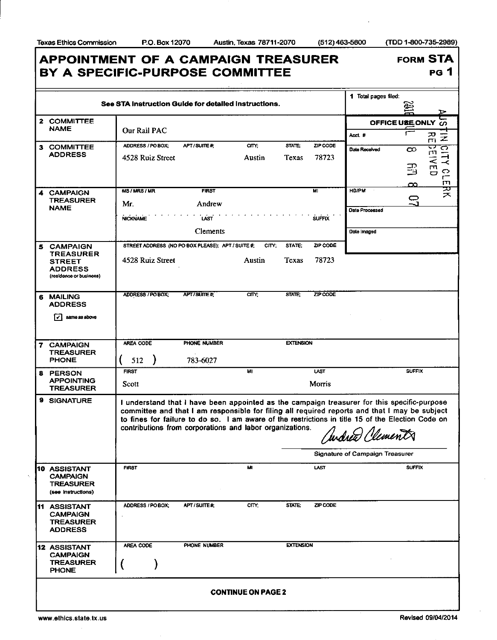FORM STA

PG 1

## **APPOINTMENT OF A CAMPAIGN TREASURER B Y A SPECIFIC-PURPOS E COMMITTEE**

| See STA Instruction Guide for detailed instructions. |                                                                              |                                                          |                 |        |                  |               | 1 Total pages filed:                                                                                                                                                                                                                                                                                                                                    |                   |                               |  |
|------------------------------------------------------|------------------------------------------------------------------------------|----------------------------------------------------------|-----------------|--------|------------------|---------------|---------------------------------------------------------------------------------------------------------------------------------------------------------------------------------------------------------------------------------------------------------------------------------------------------------------------------------------------------------|-------------------|-------------------------------|--|
|                                                      |                                                                              |                                                          |                 |        |                  |               |                                                                                                                                                                                                                                                                                                                                                         |                   |                               |  |
|                                                      | 2 COMMITTEE<br><b>NAME</b>                                                   | Our Rail PAC                                             |                 |        |                  |               |                                                                                                                                                                                                                                                                                                                                                         | OFFICE USE ONLY 0 |                               |  |
|                                                      | 3 COMMITTEE                                                                  | ADDRESS / PO BOX;                                        | APT/SUITE#;     | CITY:  | STATE:           | ZIP CODE      | Acct. #                                                                                                                                                                                                                                                                                                                                                 |                   | ᄀ<br>$\bar{z}$<br>$\Box$<br>↩ |  |
|                                                      | <b>ADDRESS</b>                                                               | 4528 Ruiz Street                                         |                 | Austin | Texas            | 78723         | Date Received                                                                                                                                                                                                                                                                                                                                           | $\infty$          | ರ್<br>т<br>ᆨ<br>そ             |  |
|                                                      |                                                                              |                                                          |                 |        |                  |               |                                                                                                                                                                                                                                                                                                                                                         | 马                 | $\prec$<br>m<br>$\circ$<br>Ō  |  |
|                                                      |                                                                              |                                                          |                 |        |                  |               |                                                                                                                                                                                                                                                                                                                                                         | œ                 | $\mathsf{L}^+$<br>m           |  |
|                                                      | <b>CAMPAIGN</b><br><b>TREASURER</b>                                          | <b>MS/MRS/MR</b>                                         | <b>FIRST</b>    |        |                  | M1            | <b>HD/PM</b>                                                                                                                                                                                                                                                                                                                                            | 0                 | 꽂                             |  |
|                                                      | <b>NAME</b>                                                                  | Mr.                                                      | Andrew          |        |                  |               | Date Processed                                                                                                                                                                                                                                                                                                                                          | - 1               |                               |  |
|                                                      |                                                                              | <b>NICKNAME</b>                                          | <b>LAST</b>     |        |                  | <b>SUFFIX</b> |                                                                                                                                                                                                                                                                                                                                                         |                   |                               |  |
|                                                      |                                                                              |                                                          | <b>Clements</b> |        |                  |               | Date Imaged                                                                                                                                                                                                                                                                                                                                             |                   |                               |  |
| 5                                                    | <b>CAMPAIGN</b><br><b>TREASURER</b>                                          | STREET ADDRESS (NO PO BOX PLEASE); APT / SUITE #;        |                 | CITY;  | STATE:           | ZIP CODE      |                                                                                                                                                                                                                                                                                                                                                         |                   |                               |  |
|                                                      | <b>STREET</b>                                                                | 4528 Ruiz Street                                         |                 | Austin | Texas            | 78723         |                                                                                                                                                                                                                                                                                                                                                         |                   |                               |  |
|                                                      | <b>ADDRESS</b><br>(residence or business)                                    |                                                          |                 |        |                  |               |                                                                                                                                                                                                                                                                                                                                                         |                   |                               |  |
|                                                      |                                                                              |                                                          | APT/SUITE#      | CITY:  | <b>STATE:</b>    | ZIP CODE      |                                                                                                                                                                                                                                                                                                                                                         |                   |                               |  |
| 6                                                    | <b>MAILING</b><br><b>ADDRESS</b>                                             | ADDRESS / PO BOX;                                        |                 |        |                  |               |                                                                                                                                                                                                                                                                                                                                                         |                   |                               |  |
|                                                      | same as above                                                                |                                                          |                 |        |                  |               |                                                                                                                                                                                                                                                                                                                                                         |                   |                               |  |
|                                                      |                                                                              |                                                          |                 |        |                  |               |                                                                                                                                                                                                                                                                                                                                                         |                   |                               |  |
|                                                      | 7 CAMPAIGN                                                                   | AREA CODE<br>PHONE NUMBER<br><b>EXTENSION</b>            |                 |        |                  |               |                                                                                                                                                                                                                                                                                                                                                         |                   |                               |  |
|                                                      | <b>TREASURER</b><br><b>PHONE</b>                                             | 512                                                      | 783-6027        |        |                  |               |                                                                                                                                                                                                                                                                                                                                                         |                   |                               |  |
|                                                      | <b>8 PERSON</b>                                                              | <b>FIRST</b>                                             |                 | MI     |                  | <b>LAST</b>   |                                                                                                                                                                                                                                                                                                                                                         | <b>SUFFIX</b>     |                               |  |
|                                                      | <b>APPOINTING</b><br><b>TREASURER</b>                                        | Scott                                                    |                 |        |                  | Morris        |                                                                                                                                                                                                                                                                                                                                                         |                   |                               |  |
|                                                      | 9 SIGNATURE                                                                  | contributions from corporations and labor organizations. |                 |        |                  |               | I understand that I have been appointed as the campaign treasurer for this specific-purpose<br>committee and that I am responsible for filing all required reports and that I may be subject<br>to fines for failure to do so. I am aware of the restrictions in title 15 of the Election Code on<br>Andrew Clements<br>Signature of Campaign Treasurer |                   |                               |  |
|                                                      | <b>10 ASSISTANT</b>                                                          | <b>FIRST</b>                                             |                 | MI     |                  | <b>LAST</b>   |                                                                                                                                                                                                                                                                                                                                                         | <b>SUFFIX</b>     |                               |  |
|                                                      | <b>CAMPAIGN</b><br><b>TREASURER</b><br>(see Instructions)                    |                                                          |                 |        |                  |               |                                                                                                                                                                                                                                                                                                                                                         |                   |                               |  |
|                                                      | <b>11 ASSISTANT</b><br><b>CAMPAIGN</b><br><b>TREASURER</b><br><b>ADDRESS</b> | ADDRESS / PO BOX:                                        | APT/SUITE#      | CITY;  | STATE:           | ZIP CODE      |                                                                                                                                                                                                                                                                                                                                                         |                   |                               |  |
|                                                      | <b>12 ASSISTANT</b>                                                          | AREA CODE                                                | PHONE NUMBER    |        | <b>EXTENSION</b> |               |                                                                                                                                                                                                                                                                                                                                                         |                   |                               |  |
|                                                      | <b>CAMPAIGN</b><br>TREASURER<br><b>PHONE</b>                                 |                                                          |                 |        |                  |               |                                                                                                                                                                                                                                                                                                                                                         |                   |                               |  |
| <b>CONTINUE ON PAGE 2</b>                            |                                                                              |                                                          |                 |        |                  |               |                                                                                                                                                                                                                                                                                                                                                         |                   |                               |  |